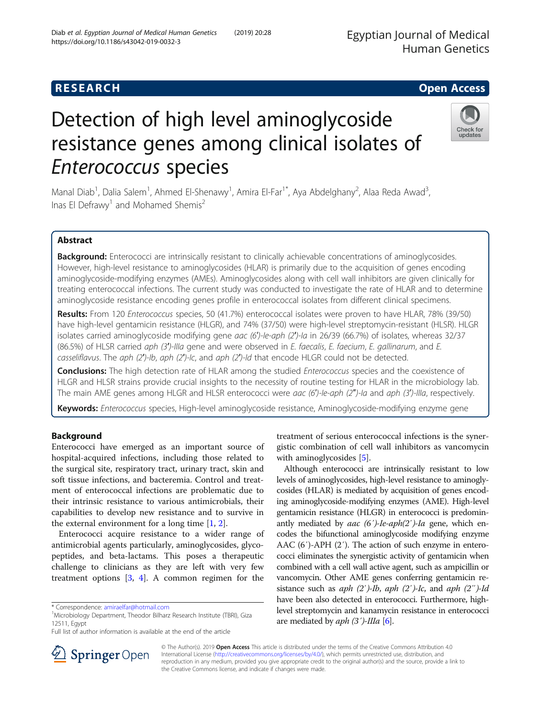# **RESEARCH CHE Open Access**

# Detection of high level aminoglycoside resistance genes among clinical isolates of Enterococcus species

Manal Diab<sup>1</sup>, Dalia Salem<sup>1</sup>, Ahmed El-Shenawy<sup>1</sup>, Amira El-Far<sup>1\*</sup>, Aya Abdelghany<sup>2</sup>, Alaa Reda Awad<sup>3</sup> , Inas El Defrawy<sup>1</sup> and Mohamed Shemis<sup>2</sup>

## Abstract

Background: Enterococci are intrinsically resistant to clinically achievable concentrations of aminoglycosides. However, high-level resistance to aminoglycosides (HLAR) is primarily due to the acquisition of genes encoding aminoglycoside-modifying enzymes (AMEs). Aminoglycosides along with cell wall inhibitors are given clinically for treating enterococcal infections. The current study was conducted to investigate the rate of HLAR and to determine aminoglycoside resistance encoding genes profile in enterococcal isolates from different clinical specimens.

Results: From 120 Enterococcus species, 50 (41.7%) enterococcal isolates were proven to have HLAR, 78% (39/50) have high-level gentamicin resistance (HLGR), and 74% (37/50) were high-level streptomycin-resistant (HLSR). HLGR isolates carried aminoglycoside modifying gene aac (6')-le-aph (2')-la in 26/39 (66.7%) of isolates, whereas 32/37 (86.5%) of HLSR carried aph (3')-Illa gene and were observed in E. faecalis, E. faecium, E. gallinarum, and E. casseliflavus. The aph (2′)-Ib, aph (2′)-Ic, and aph (2′)-Id that encode HLGR could not be detected.

Conclusions: The high detection rate of HLAR among the studied Enterococcus species and the coexistence of HLGR and HLSR strains provide crucial insights to the necessity of routine testing for HLAR in the microbiology lab. The main AME genes among HLGR and HLSR enterococci were aac (6')-le-aph (2")-la and aph (3')-Illa, respectively.

Keywords: Enterococcus species, High-level aminoglycoside resistance, Aminoglycoside-modifying enzyme gene

## Background

Enterococci have emerged as an important source of hospital-acquired infections, including those related to the surgical site, respiratory tract, urinary tract, skin and soft tissue infections, and bacteremia. Control and treatment of enterococcal infections are problematic due to their intrinsic resistance to various antimicrobials, their capabilities to develop new resistance and to survive in the external environment for a long time  $[1, 2]$  $[1, 2]$  $[1, 2]$  $[1, 2]$  $[1, 2]$ .

Enterococci acquire resistance to a wider range of antimicrobial agents particularly, aminoglycosides, glycopeptides, and beta-lactams. This poses a therapeutic challenge to clinicians as they are left with very few treatment options [[3,](#page-4-0) [4\]](#page-4-0). A common regimen for the

\* Correspondence: [amiraelfar@hotmail.com](mailto:amiraelfar@hotmail.com) <sup>1</sup>

<sup>1</sup>Microbiology Department, Theodor Bilharz Research Institute (TBRI), Giza 12511, Egypt

Full list of author information is available at the end of the article

treatment of serious enterococcal infections is the synergistic combination of cell wall inhibitors as vancomycin with aminoglycosides [\[5](#page-4-0)].

Although enterococci are intrinsically resistant to low levels of aminoglycosides, high-level resistance to aminoglycosides (HLAR) is mediated by acquisition of genes encoding aminoglycoside-modifying enzymes (AME). High-level gentamicin resistance (HLGR) in enterococci is predominantly mediated by aac  $(6')$ -Ie-aph $(2')$ -Ia gene, which encodes the bifunctional aminoglycoside modifying enzyme AAC (6′)-APH (2′). The action of such enzyme in enterococci eliminates the synergistic activity of gentamicin when combined with a cell wall active agent, such as ampicillin or vancomycin. Other AME genes conferring gentamicin resistance such as  $aph (2')-Ib$ ,  $aph (2')-Ic$ , and  $aph (2'')-Id$ have been also detected in enterococci. Furthermore, highlevel streptomycin and kanamycin resistance in enterococci are mediated by  $aph (3')$ -IIIa [\[6\]](#page-4-0).





© The Author(s). 2019 Open Access This article is distributed under the terms of the Creative Commons Attribution 4.0 International License ([http://creativecommons.org/licenses/by/4.0/\)](http://creativecommons.org/licenses/by/4.0/), which permits unrestricted use, distribution, and reproduction in any medium, provided you give appropriate credit to the original author(s) and the source, provide a link to the Creative Commons license, and indicate if changes were made.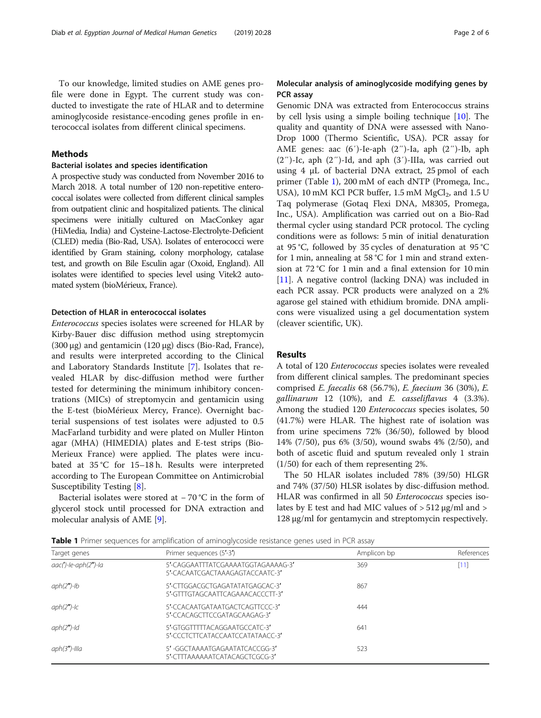To our knowledge, limited studies on AME genes profile were done in Egypt. The current study was conducted to investigate the rate of HLAR and to determine aminoglycoside resistance-encoding genes profile in enterococcal isolates from different clinical specimens.

## Methods

## Bacterial isolates and species identification

A prospective study was conducted from November 2016 to March 2018. A total number of 120 non-repetitive enterococcal isolates were collected from different clinical samples from outpatient clinic and hospitalized patients. The clinical specimens were initially cultured on MacConkey agar (HiMedia, India) and Cysteine-Lactose-Electrolyte-Deficient (CLED) media (Bio-Rad, USA). Isolates of enterococci were identified by Gram staining, colony morphology, catalase test, and growth on Bile Esculin agar (Oxoid, England). All isolates were identified to species level using Vitek2 automated system (bioMérieux, France).

## Detection of HLAR in enterococcal isolates

Enterococcus species isolates were screened for HLAR by Kirby-Bauer disc diffusion method using streptomycin (300 μg) and gentamicin (120 μg) discs (Bio-Rad, France), and results were interpreted according to the Clinical and Laboratory Standards Institute [\[7\]](#page-4-0). Isolates that revealed HLAR by disc-diffusion method were further tested for determining the minimum inhibitory concentrations (MICs) of streptomycin and gentamicin using the E-test (bioMérieux Mercy, France). Overnight bacterial suspensions of test isolates were adjusted to 0.5 MacFarland turbidity and were plated on Muller Hinton agar (MHA) (HIMEDIA) plates and E-test strips (Bio-Merieux France) were applied. The plates were incubated at 35 °C for 15–18 h. Results were interpreted according to The European Committee on Antimicrobial Susceptibility Testing [[8](#page-4-0)].

Bacterial isolates were stored at − 70 °C in the form of glycerol stock until processed for DNA extraction and molecular analysis of AME [\[9\]](#page-4-0).

## Molecular analysis of aminoglycoside modifying genes by PCR assay

Genomic DNA was extracted from Enterococcus strains by cell lysis using a simple boiling technique [[10\]](#page-4-0). The quality and quantity of DNA were assessed with Nano-Drop 1000 (Thermo Scientific, USA). PCR assay for AME genes: aac (6′)-Ie-aph (2″)-Ia, aph (2″)-Ib, aph  $(2'')$ -Ic, aph  $(2'')$ -Id, and aph  $(3')$ -IIIa, was carried out using 4 μL of bacterial DNA extract, 25 pmol of each primer (Table 1), 200 mM of each dNTP (Promega, Inc., USA), 10 mM KCl PCR buffer, 1.5 mM  $MgCl<sub>2</sub>$ , and 1.5 U Taq polymerase (Gotaq Flexi DNA, M8305, Promega, Inc., USA). Amplification was carried out on a Bio-Rad thermal cycler using standard PCR protocol. The cycling conditions were as follows: 5 min of initial denaturation at 95 °C, followed by 35 cycles of denaturation at 95 °C for 1 min, annealing at 58 °C for 1 min and strand extension at 72 °C for 1 min and a final extension for 10 min [[11\]](#page-4-0). A negative control (lacking DNA) was included in each PCR assay. PCR products were analyzed on a 2% agarose gel stained with ethidium bromide. DNA amplicons were visualized using a gel documentation system (cleaver scientific, UK).

## Results

A total of 120 Enterococcus species isolates were revealed from different clinical samples. The predominant species comprised E. faecalis 68 (56.7%), E. faecium 36 (30%), E. gallinarum 12 (10%), and E. casseliflavus 4 (3.3%). Among the studied 120 Enterococcus species isolates, 50 (41.7%) were HLAR. The highest rate of isolation was from urine specimens 72% (36/50), followed by blood 14% (7/50), pus 6% (3/50), wound swabs 4% (2/50), and both of ascetic fluid and sputum revealed only 1 strain (1/50) for each of them representing 2%.

The 50 HLAR isolates included 78% (39/50) HLGR and 74% (37/50) HLSR isolates by disc-diffusion method. HLAR was confirmed in all 50 Enterococcus species isolates by E test and had MIC values of  $> 512 \mu g/ml$  and  $>$ 128 μg/ml for gentamycin and streptomycin respectively.

Table 1 Primer sequences for amplification of aminoglycoside resistance genes used in PCR assay

|                         | $\sim$                                                                |             |            |
|-------------------------|-----------------------------------------------------------------------|-------------|------------|
| Target genes            | Primer sequences (5'-3')                                              | Amplicon bp | References |
| $aac(')-le-aph(2'')-la$ | 5'-CAGGAATTTATCGAAAATGGTAGAAAAG-3'<br>5'-CACAATCGACTAAAGAGTACCAATC-3' | 369         | [11]       |
| $aph(2")$ -lb           | 5'-CTTGGACGCTGAGATATATGAGCAC-3'<br>5'-GTTTGTAGCAATTCAGAAACACCCTT-3'   | 867         |            |
| $aph(2")$ -lc           | 5'-CCACAATGATAATGACTCAGTTCCC-3'<br>5'-CCACAGCTTCCGATAGCAAGAG-3'       | 444         |            |
| $aph(2")$ -ld           | 5'-GTGGTTTTTACAGGAATGCCATC-3'<br>5'-CCCTCTTCATACCAATCCATATAACC-3'     | 641         |            |
| $aph(3")$ -Illa         | 5'-GGCTAAAATGAGAATATCACCGG-3'<br>5'-CTTTAAAAAATCATACAGCTCGCG-3'       | 523         |            |
|                         |                                                                       |             |            |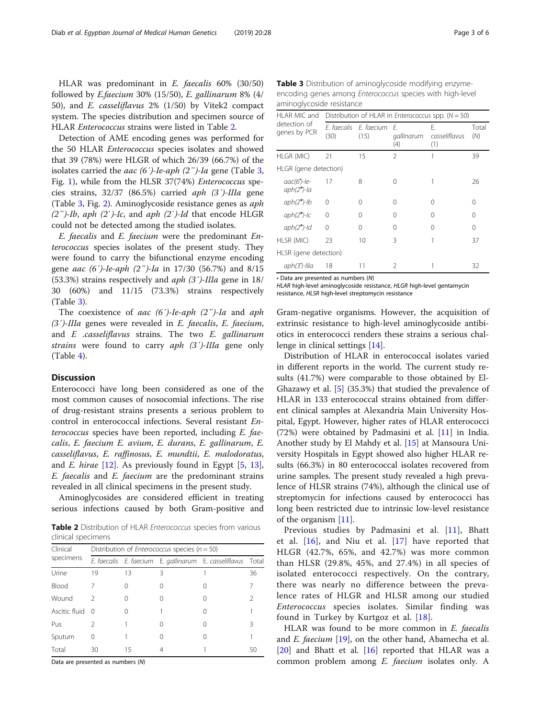HLAR was predominant in E. faecalis 60% (30/50) followed by E.faecium 30% (15/50), E. gallinarum 8% (4/ 50), and E. casseliflavus 2% (1/50) by Vitek2 compact system. The species distribution and specimen source of HLAR Enterococcus strains were listed in Table 2.

Detection of AME encoding genes was performed for the 50 HLAR Enterococcus species isolates and showed that 39 (78%) were HLGR of which 26/39 (66.7%) of the isolates carried the aac (6′)-Ie-aph (2″)-Ia gene (Table 3, Fig. [1\)](#page-3-0), while from the HLSR 37(74%) Enterococcus species strains, 32/37 (86.5%) carried aph (3′)-IIIa gene (Table 3, Fig. [2](#page-3-0)). Aminoglycoside resistance genes as aph  $(2'')$ -Ib, aph  $(2')$ -Ic, and aph  $(2')$ -Id that encode HLGR could not be detected among the studied isolates.

E. faecalis and E. faecium were the predominant Enterococcus species isolates of the present study. They were found to carry the bifunctional enzyme encoding gene aac (6′)-Ie-aph (2″)-Ia in 17/30 (56.7%) and 8/15 (53.3%) strains respectively and aph (3′)-IIIa gene in 18/ 30 (60%) and 11/15 (73.3%) strains respectively (Table 3).

The coexistence of aac  $(6')$ -Ie-aph  $(2'')$ -Ia and aph (3′)-IIIa genes were revealed in E. faecalis, E. faecium, and  $E$  .casseliflavus strains. The two  $E$ . gallinarum strains were found to carry aph (3')-IIIa gene only (Table [4\)](#page-4-0).

## **Discussion**

Enterococci have long been considered as one of the most common causes of nosocomial infections. The rise of drug-resistant strains presents a serious problem to control in enterococcal infections. Several resistant Enterococcus species have been reported, including E. faecalis, E. faecium E. avium, E. durans, E. gallinarum, E. casseliflavus, E. raffinosus, E. mundtii, E. malodoratus, and  $E$ . hirae  $[12]$  $[12]$ . As previously found in Egypt  $[5, 13]$  $[5, 13]$  $[5, 13]$  $[5, 13]$ , E. faecalis and E. faecium are the predominant strains revealed in all clinical specimens in the present study.

Aminoglycosides are considered efficient in treating serious infections caused by both Gram-positive and

Table 2 Distribution of HLAR Enterococcus species from various clinical specimens

| Clinical      | Distribution of <i>Enterococcus</i> species ( $n = 50$ ) |    |                  |                                                             |    |
|---------------|----------------------------------------------------------|----|------------------|-------------------------------------------------------------|----|
| specimens     |                                                          |    |                  | E. faecalis E. faecium E. gallinarum E. casseliflavus Total |    |
| Urine         | 19                                                       | 13 | ζ                |                                                             | 36 |
| <b>Blood</b>  |                                                          |    | $\left( \right)$ |                                                             | 7  |
| Wound         | 2                                                        |    | $\left( \right)$ |                                                             | C  |
| Ascitic fluid | - 0                                                      |    |                  |                                                             |    |
| Pus           | 2                                                        |    | $\left( \right)$ |                                                             | ζ  |
| Sputum        | 0                                                        |    | Ω                |                                                             |    |
| Total         | 30                                                       | 15 | 4                |                                                             | 50 |

Data are presented as numbers (N)

**Table 3** Distribution of aminoglycoside modifying enzymeencoding genes among Enterococcus species with high-level aminoglycoside resistance

| HLAR MIC and                             | Distribution of HLAR in <i>Enterococcus</i> spp. $(N = 50)$ |                                   |                     |                            |              |
|------------------------------------------|-------------------------------------------------------------|-----------------------------------|---------------------|----------------------------|--------------|
| detection of<br>genes by PCR             | (30)                                                        | F. faecalis F. faecium F.<br>(15) | gallinarum<br>(4)   | Е.<br>casseliflavus<br>(1) | Total<br>(N) |
| HLGR (MIC)                               | 21                                                          | 15                                | 2                   |                            | 39           |
| HLGR (gene detection)                    |                                                             |                                   |                     |                            |              |
| $\textit{aac}(6')$ -le-<br>$aph(2")$ -la | 17                                                          | 8                                 | $\scriptstyle\odot$ |                            | 26           |
| $aph(2")$ -lb                            | 0                                                           | Λ                                 | Λ                   | Ω                          | 0            |
| $aph(2")$ - $lc$                         | 0                                                           | Λ                                 | ∩                   | Λ                          | ∩            |
| $aph(2")$ -ld                            | $\Omega$                                                    | ∩                                 | Λ                   | Λ                          | 0            |
| HLSR (MIC)                               | 23                                                          | $10 \,$                           | 3                   |                            | 37           |
| HLSR (gene detection)                    |                                                             |                                   |                     |                            |              |
| $aph(3')$ -Illa                          | 18                                                          | 11                                | 2                   |                            | 32           |

• Data are presented as numbers (N)

HLAR high-level aminoglycoside resistance, HLGR high-level gentamycin resistance, HLSR high-level streptomycin resistance

Gram-negative organisms. However, the acquisition of extrinsic resistance to high-level aminoglycoside antibiotics in enterococci renders these strains a serious challenge in clinical settings [[14\]](#page-4-0).

Distribution of HLAR in enterococcal isolates varied in different reports in the world. The current study results (41.7%) were comparable to those obtained by El-Ghazawy et al. [\[5](#page-4-0)] (35.3%) that studied the prevalence of HLAR in 133 enterococcal strains obtained from different clinical samples at Alexandria Main University Hospital, Egypt. However, higher rates of HLAR enterococci (72%) were obtained by Padmasini et al. [[11](#page-4-0)] in India. Another study by El Mahdy et al. [[15](#page-4-0)] at Mansoura University Hospitals in Egypt showed also higher HLAR results (66.3%) in 80 enterococcal isolates recovered from urine samples. The present study revealed a high prevalence of HLSR strains (74%), although the clinical use of streptomycin for infections caused by enterococci has long been restricted due to intrinsic low-level resistance of the organism [\[11](#page-4-0)].

Previous studies by Padmasini et al. [\[11\]](#page-4-0), Bhatt et al. [\[16\]](#page-4-0), and Niu et al. [[17](#page-5-0)] have reported that HLGR (42.7%, 65%, and 42.7%) was more common than HLSR (29.8%, 45%, and 27.4%) in all species of isolated enterococci respectively. On the contrary, there was nearly no difference between the prevalence rates of HLGR and HLSR among our studied Enterococcus species isolates. Similar finding was found in Turkey by Kurtgoz et al. [[18\]](#page-5-0).

HLAR was found to be more common in E. faecalis and E. faecium  $[19]$  $[19]$  $[19]$ , on the other hand, Abamecha et al.  $[20]$  $[20]$  and Bhatt et al.  $[16]$  $[16]$  reported that HLAR was a common problem among E. faecium isolates only. A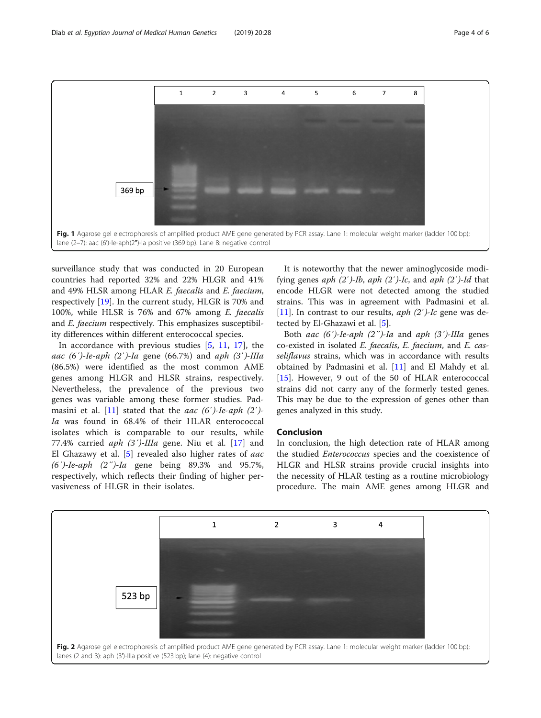<span id="page-3-0"></span>

surveillance study that was conducted in 20 European countries had reported 32% and 22% HLGR and 41% and 49% HLSR among HLAR E. faecalis and E. faecium, respectively [\[19](#page-5-0)]. In the current study, HLGR is 70% and 100%, while HLSR is 76% and 67% among E. faecalis and E. faecium respectively. This emphasizes susceptibility differences within different enterococcal species.

In accordance with previous studies  $[5, 11, 17]$  $[5, 11, 17]$  $[5, 11, 17]$  $[5, 11, 17]$  $[5, 11, 17]$  $[5, 11, 17]$  $[5, 11, 17]$ , the aac (6')-Ie-aph (2')-Ia gene (66.7%) and aph (3')-IIIa (86.5%) were identified as the most common AME genes among HLGR and HLSR strains, respectively. Nevertheless, the prevalence of the previous two genes was variable among these former studies. Pad-masini et al. [[11\]](#page-4-0) stated that the *aac* (6')-Ie-aph (2')-Ia was found in 68.4% of their HLAR enterococcal isolates which is comparable to our results, while 77.4% carried  $aph$  (3')-IIIa gene. Niu et al. [[17](#page-5-0)] and El Ghazawy et al.  $[5]$  $[5]$  revealed also higher rates of *aac* (6′)-Ie-aph (2″)-Ia gene being 89.3% and 95.7%, respectively, which reflects their finding of higher pervasiveness of HLGR in their isolates.

It is noteworthy that the newer aminoglycoside modifying genes *aph*  $(2')$ -*Ib*, *aph*  $(2')$ -*Ic*, and *aph*  $(2')$ -*Id* that encode HLGR were not detected among the studied strains. This was in agreement with Padmasini et al. [[11\]](#page-4-0). In contrast to our results,  $aph(2')$ -Ic gene was detected by El-Ghazawi et al. [\[5](#page-4-0)].

Both aac  $(6')$ -Ie-aph  $(2'')$ -Ia and aph  $(3')$ -IIIa genes co-existed in isolated E. faecalis, E. faecium, and E. casseliflavus strains, which was in accordance with results obtained by Padmasini et al. [\[11](#page-4-0)] and El Mahdy et al. [[15\]](#page-4-0). However, 9 out of the 50 of HLAR enterococcal strains did not carry any of the formerly tested genes. This may be due to the expression of genes other than genes analyzed in this study.

## Conclusion

In conclusion, the high detection rate of HLAR among the studied *Enterococcus* species and the coexistence of HLGR and HLSR strains provide crucial insights into the necessity of HLAR testing as a routine microbiology procedure. The main AME genes among HLGR and

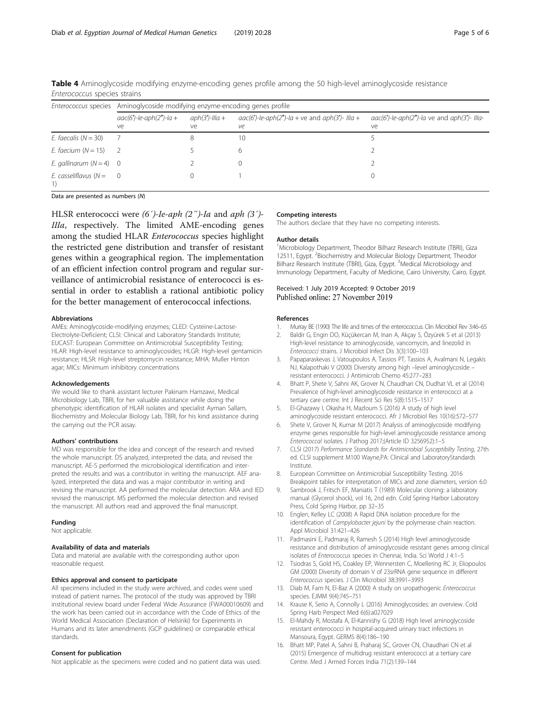| Enterococcus species      | Aminoglycoside modifying enzyme-encoding genes profile |                         |                                                         |                                                               |  |
|---------------------------|--------------------------------------------------------|-------------------------|---------------------------------------------------------|---------------------------------------------------------------|--|
|                           | $aac(6')$ -le-aph $(2'')$ -la +<br>ve                  | $aph(3')$ -Illa +<br>ve | $aac(6')$ -le-aph(2")-la + ve and aph(3')- Illa +<br>ve | $aac(6')$ -le-aph $(2'')$ -la ve and aph $(3')$ - Illa-<br>ve |  |
| E. faecalis $(N = 30)$    |                                                        |                         | 10                                                      |                                                               |  |
| E. faecium $(N = 15)$     | $\overline{z}$                                         |                         | 6                                                       |                                                               |  |
| E. gallinarum $(N = 4)$ 0 |                                                        |                         | $\Omega$                                                |                                                               |  |
| E. casseliflavus $(N = 0$ |                                                        |                         |                                                         |                                                               |  |

<span id="page-4-0"></span>Table 4 Aminoglycoside modifying enzyme-encoding genes profile among the 50 high-level aminoglycoside resistance Enterococcus species strains

Data are presented as numbers (N)

HLSR enterococci were (6')-le-aph (2")-la and aph (3')-IIIa, respectively. The limited AME-encoding genes among the studied HLAR Enterococcus species highlight the restricted gene distribution and transfer of resistant genes within a geographical region. The implementation of an efficient infection control program and regular surveillance of antimicrobial resistance of enterococci is essential in order to establish a rational antibiotic policy for the better management of enterococcal infections.

#### Abbreviations

AMEs: Aminoglycoside-modifying enzymes; CLED: Cysteine-Lactose-Electrolyte-Deficient; CLSI: Clinical and Laboratory Standards Institute; EUCAST: European Committee on Antimicrobial Susceptibility Testing; HLAR: High-level resistance to aminoglycosides; HLGR: High-level gentamicin resistance; HLSR: High-level streptomycin resistance; MHA: Muller Hinton agar; MICs: Minimum inhibitory concentrations

#### Acknowledgements

We would like to thank assistant lecturer Pakinam Hamzawi, Medical Microbiology Lab, TBRI, for her valuable assistance while doing the phenotypic identification of HLAR isolates and specialist Ayman Sallam, Biochemistry and Molecular Biology Lab, TBRI, for his kind assistance during the carrying out the PCR assay.

#### Authors' contributions

MD was responsible for the idea and concept of the research and revised the whole manuscript. DS analyzed, interpreted the data, and revised the manuscript. AE-S performed the microbiological identification and interpreted the results and was a contributor in writing the manuscript. AEF analyzed, interpreted the data and was a major contributor in writing and revising the manuscript. AA performed the molecular detection. ARA and IED revised the manuscript. MS performed the molecular detection and revised the manuscript. All authors read and approved the final manuscript.

#### Funding

Not applicable.

#### Availability of data and materials

Data and material are available with the corresponding author upon reasonable request.

### Ethics approval and consent to participate

All specimens included in the study were archived, and codes were used instead of patient names. The protocol of the study was approved by TBRI institutional review board under Federal Wide Assurance (FWA00010609) and the work has been carried out in accordance with the Code of Ethics of the World Medical Association (Declaration of Helsinki) for Experiments in Humans and its later amendments (GCP guidelines) or comparable ethical standards.

## Consent for publication

Not applicable as the specimens were coded and no patient data was used.

#### Competing interests

The authors declare that they have no competing interests.

#### Author details

<sup>1</sup>Microbiology Department, Theodor Bilharz Research Institute (TBRI), Giza 12511, Egypt. <sup>2</sup> Biochemistry and Molecular Biology Department, Theodor Bilharz Research Institute (TBRI), Giza, Egypt. <sup>3</sup>Medical Microbiology and Immunology Department, Faculty of Medicine, Cairo University, Cairo, Egypt.

## Received: 1 July 2019 Accepted: 9 October 2019 Published online: 27 November 2019

#### References

- 1. Murray BE (1990) The life and times of the enterococcus. Clin Microbiol Rev 3:46–65
- 2. Baldir G, Engin DO, Küçükercan M, Inan A, Akçay S, Özyürek S et al (2013) High-level resistance to aminoglycoside, vancomycin, and linezolid in Enterococci strains. J Microbiol Infect Dis 3(3):100–103
- 3. Papaparaskevas J, Vatoupoulos A, Tassios PT, Tassios A, Avalmani N, Legakis NJ, Kalapothaki V (2000) Diversity among high –level aminoglycoside – resistant enterococci. J Antimicrob Chemo 45:277–283
- 4. Bhatt P, Shete V, Sahni AK, Grover N, Chaudhari CN, Dudhat VL et al (2014) Prevalence of high-level aminoglycoside resistance in enterococci at a tertiary care centre. Int J Recent Sci Res 5(8):1515–1517
- 5. El-Ghazawy I, Okasha H, Mazloum S (2016) A study of high level aminoglycoside resistant enterococci. Afr J Microbiol Res 10(16):572–577
- 6. Shete V, Grover N, Kumar M (2017) Analysis of aminoglycoside modifying enzyme genes responsible for high-level aminoglycoside resistance among Enterococcal isolates. J Pathog 2017;(Article ID 3256952):1–5
- 7. CLSI (2017) Performance Standards for Antimicrobial Susceptibilty Testing, 27th ed. CLSI supplement M100 Wayne,PA: Clinical and LaboratoryStandards Institute.
- 8. European Committee on Antimicrobial Susceptibility Testing. 2016 Breakpoint tables for interpretation of MICs and zone diameters, version 6.0
- 9. Sambrook J, Fritsch EF, Maniatis T (1989) Molecular cloning: a laboratory manual (Glycerol shock), vol 16, 2nd edn. Cold Spring Harbor Laboratory Press, Cold Spring Harbor, pp 32–35
- 10. Englen, Kelley LC (2008) A Rapid DNA isolation procedure for the identification of Campylobacter jejuni by the polymerase chain reaction. Appl Microbiol 31:421–426
- 11. Padmasini E, Padmaraj R, Ramesh S (2014) High level aminoglycoside resistance and distribution of aminoglycoside resistant genes among clinical isolates of Enterococcus species in Chennai, India. Sci World J 4:1–5
- 12. Tsiodras S, Gold HS, Coakley EP, Wennersten C, Moellering RC Jr, Eliopoulos GM (2000) Diversity of domain V of 23srRNA gene sequence in different Enterococcus species. J Clin Microbiol 38:3991–3993
- 13. Diab M, Fam N, El-Baz A (2000) A study on uropathogenic Enterococcus species. EJMM 9(4):745–751
- 14. Krause K, Serio A, Connolly L (2016) Aminoglycosides: an overview. Cold Spring Harb Perspect Med 6(6):a027029
- 15. El-Mahdy R, Mostafa A, El-Kannishy G (2018) High level aminoglycoside resistant enterococci in hospital-acquired urinary tract infections in Mansoura, Egypt. GERMS 8(4):186–190
- 16. Bhatt MP, Patel A, Sahni B, Praharaj SC, Grover CN, Chaudhari CN et al (2015) Emergence of multidrug resistant enterococci at a tertiary care Centre. Med J Armed Forces India 71(2):139–144